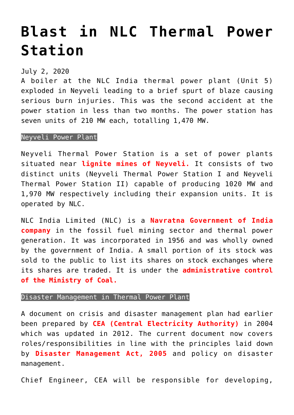## **[Blast in NLC Thermal Power](https://journalsofindia.com/blast-in-nlc-thermal-power-station/) [Station](https://journalsofindia.com/blast-in-nlc-thermal-power-station/)**

## July 2, 2020

A boiler at the NLC India thermal power plant (Unit 5) exploded in Neyveli leading to a brief spurt of blaze causing serious burn injuries. This was the second accident at the power station in less than two months. The power station has seven units of 210 MW each, totalling 1,470 MW.

## Neyveli Power Plant

Neyveli Thermal Power Station is a set of power plants situated near **lignite mines of Neyveli.** It consists of two distinct units (Neyveli Thermal Power Station I and Neyveli Thermal Power Station II) capable of producing 1020 MW and 1,970 MW respectively including their expansion units. It is operated by NLC.

NLC India Limited (NLC) is a **Navratna Government of India company** in the fossil fuel mining sector and thermal power generation. It was incorporated in 1956 and was wholly owned by the government of India. A small portion of its stock was sold to the public to list its shares on stock exchanges where its shares are traded. It is under the **administrative control of the Ministry of Coal.**

## Disaster Management in Thermal Power Plant

A document on crisis and disaster management plan had earlier been prepared by **CEA (Central Electricity Authority)** in 2004 which was updated in 2012. The current document now covers roles/responsibilities in line with the principles laid down by **Disaster Management Act, 2005** and policy on disaster management.

Chief Engineer, CEA will be responsible for developing,